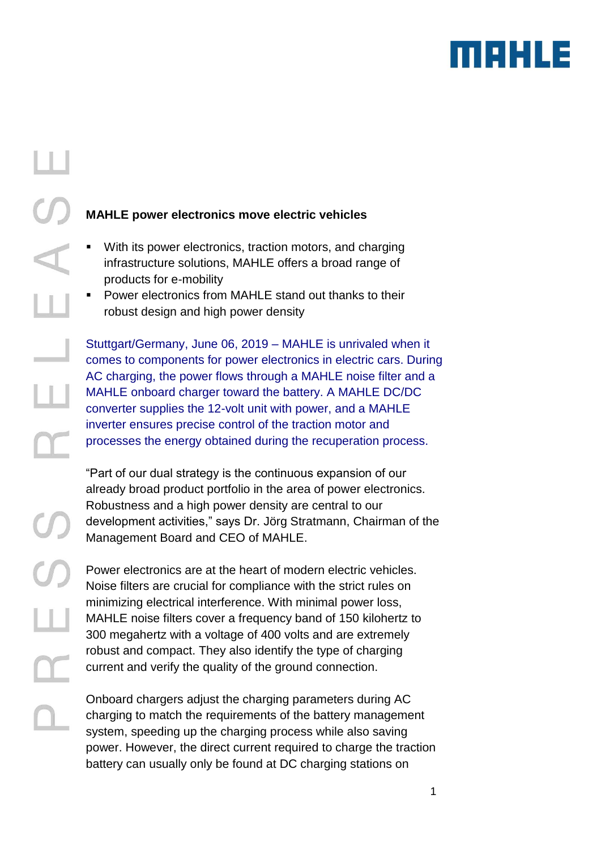

## **MAHLE power electronics move electric vehicles**

- With its power electronics, traction motors, and charging infrastructure solutions, MAHLE offers a broad range of products for e-mobility
- Power electronics from MAHLE stand out thanks to their robust design and high power density

Stuttgart/Germany, June 06, 2019 – MAHLE is unrivaled when it comes to components for power electronics in electric cars. During AC charging, the power flows through a MAHLE noise filter and a MAHLE onboard charger toward the battery. A MAHLE DC/DC converter supplies the 12-volt unit with power, and a MAHLE inverter ensures precise control of the traction motor and processes the energy obtained during the recuperation process.

"Part of our dual strategy is the continuous expansion of our already broad product portfolio in the area of power electronics. Robustness and a high power density are central to our development activities," says Dr. Jörg Stratmann, Chairman of the Management Board and CEO of MAHLE.

Power electronics are at the heart of modern electric vehicles. Noise filters are crucial for compliance with the strict rules on minimizing electrical interference. With minimal power loss, MAHLE noise filters cover a frequency band of 150 kilohertz to 300 megahertz with a voltage of 400 volts and are extremely robust and compact. They also identify the type of charging current and verify the quality of the ground connection.

Onboard chargers adjust the charging parameters during AC charging to match the requirements of the battery management system, speeding up the charging process while also saving power. However, the direct current required to charge the traction battery can usually only be found at DC charging stations on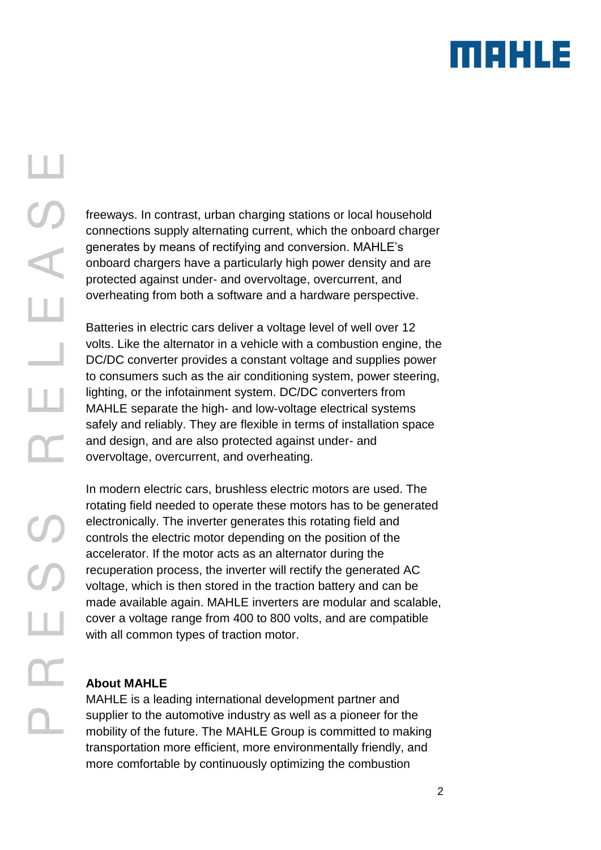

# Щ  $20$  $\overline{\mathbb{L}}$  $\overline{\phantom{0}}$ Ш  $\alpha$

freeways. In contrast, urban charging stations or local household connections supply alternating current, which the onboard charger generates by means of rectifying and conversion. MAHLE's onboard chargers have a particularly high power density and are protected against under- and overvoltage, overcurrent, and overheating from both a software and a hardware perspective.

Batteries in electric cars deliver a voltage level of well over 12 volts. Like the alternator in a vehicle with a combustion engine, the DC/DC converter provides a constant voltage and supplies power to consumers such as the air conditioning system, power steering, lighting, or the infotainment system. DC/DC converters from MAHLE separate the high- and low-voltage electrical systems safely and reliably. They are flexible in terms of installation space and design, and are also protected against under- and overvoltage, overcurrent, and overheating.

In modern electric cars, brushless electric motors are used. The rotating field needed to operate these motors has to be generated electronically. The inverter generates this rotating field and controls the electric motor depending on the position of the accelerator. If the motor acts as an alternator during the recuperation process, the inverter will rectify the generated AC voltage, which is then stored in the traction battery and can be made available again. MAHLE inverters are modular and scalable, cover a voltage range from 400 to 800 volts, and are compatible with all common types of traction motor.

#### **About MAHLE**

MAHLE is a leading international development partner and supplier to the automotive industry as well as a pioneer for the mobility of the future. The MAHLE Group is committed to making transportation more efficient, more environmentally friendly, and more comfortable by continuously optimizing the combustion